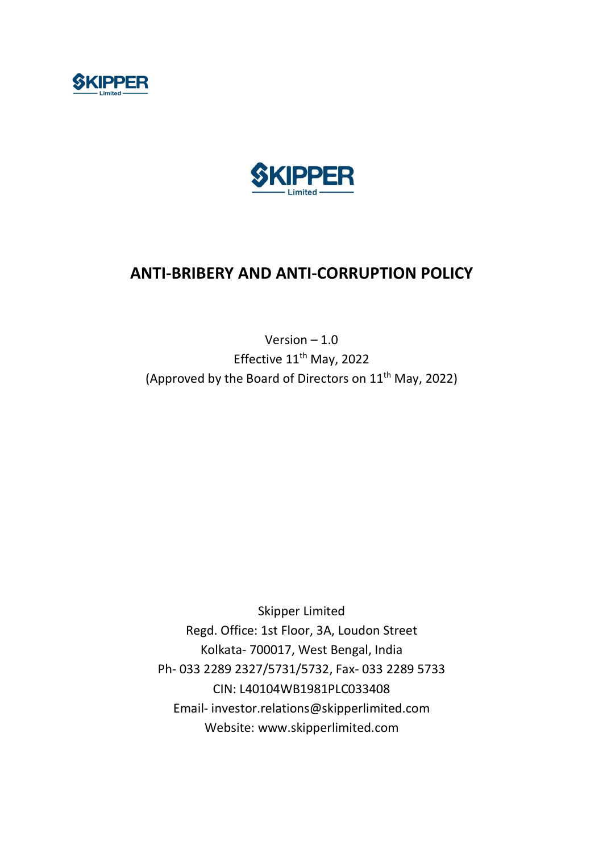



# ANTI-BRIBERY AND ANTI-CORRUPTION POLICY

Version – 1.0 Effective 11<sup>th</sup> May, 2022 (Approved by the Board of Directors on 11<sup>th</sup> May, 2022)

Skipper Limited Regd. Office: 1st Floor, 3A, Loudon Street Kolkata- 700017, West Bengal, India Ph- 033 2289 2327/5731/5732, Fax- 033 2289 5733 CIN: L40104WB1981PLC033408 Email- investor.relations@skipperlimited.com Website: www.skipperlimited.com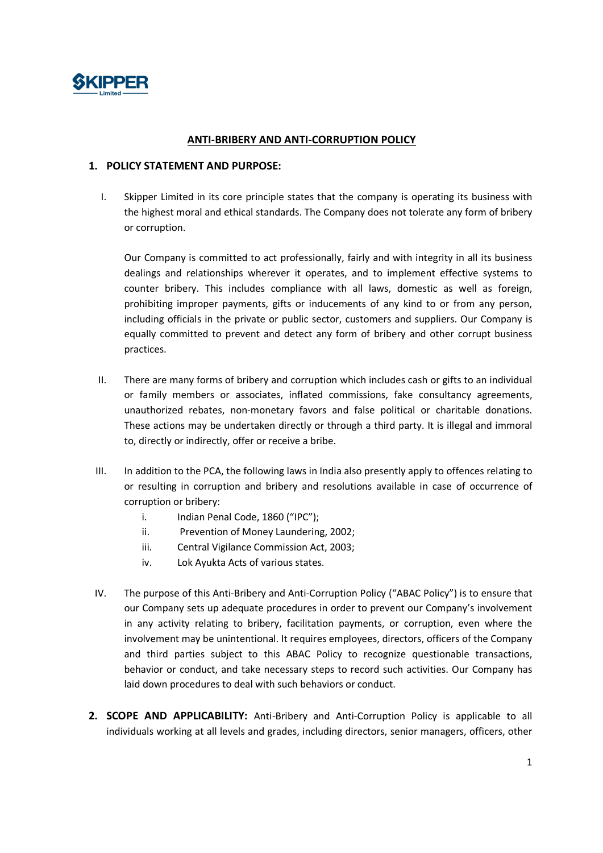

#### ANTI-BRIBERY AND ANTI-CORRUPTION POLICY

#### 1. POLICY STATEMENT AND PURPOSE:

I. Skipper Limited in its core principle states that the company is operating its business with the highest moral and ethical standards. The Company does not tolerate any form of bribery or corruption.

Our Company is committed to act professionally, fairly and with integrity in all its business dealings and relationships wherever it operates, and to implement effective systems to counter bribery. This includes compliance with all laws, domestic as well as foreign, prohibiting improper payments, gifts or inducements of any kind to or from any person, including officials in the private or public sector, customers and suppliers. Our Company is equally committed to prevent and detect any form of bribery and other corrupt business practices.

- II. There are many forms of bribery and corruption which includes cash or gifts to an individual or family members or associates, inflated commissions, fake consultancy agreements, unauthorized rebates, non-monetary favors and false political or charitable donations. These actions may be undertaken directly or through a third party. It is illegal and immoral to, directly or indirectly, offer or receive a bribe.
- III. In addition to the PCA, the following laws in India also presently apply to offences relating to or resulting in corruption and bribery and resolutions available in case of occurrence of corruption or bribery:
	- i. Indian Penal Code, 1860 ("IPC");
	- ii. Prevention of Money Laundering, 2002;
	- iii. Central Vigilance Commission Act, 2003;
	- iv. Lok Ayukta Acts of various states.
- IV. The purpose of this Anti-Bribery and Anti-Corruption Policy ("ABAC Policy") is to ensure that our Company sets up adequate procedures in order to prevent our Company's involvement in any activity relating to bribery, facilitation payments, or corruption, even where the involvement may be unintentional. It requires employees, directors, officers of the Company and third parties subject to this ABAC Policy to recognize questionable transactions, behavior or conduct, and take necessary steps to record such activities. Our Company has laid down procedures to deal with such behaviors or conduct.
- 2. SCOPE AND APPLICABILITY: Anti-Bribery and Anti-Corruption Policy is applicable to all individuals working at all levels and grades, including directors, senior managers, officers, other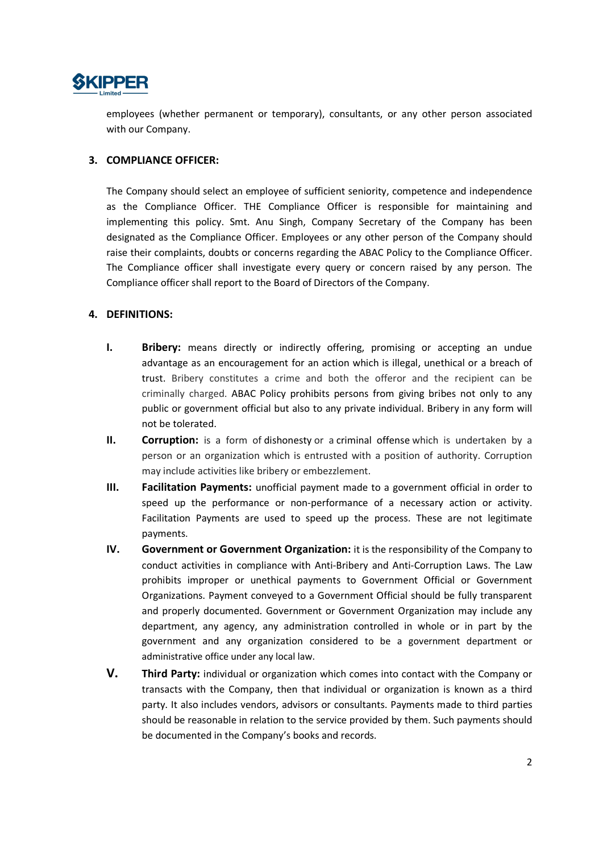

employees (whether permanent or temporary), consultants, or any other person associated with our Company.

### 3. COMPLIANCE OFFICER:

The Company should select an employee of sufficient seniority, competence and independence as the Compliance Officer. THE Compliance Officer is responsible for maintaining and implementing this policy. Smt. Anu Singh, Company Secretary of the Company has been designated as the Compliance Officer. Employees or any other person of the Company should raise their complaints, doubts or concerns regarding the ABAC Policy to the Compliance Officer. The Compliance officer shall investigate every query or concern raised by any person. The Compliance officer shall report to the Board of Directors of the Company.

## 4. DEFINITIONS:

- **I.** Bribery: means directly or indirectly offering, promising or accepting an undue advantage as an encouragement for an action which is illegal, unethical or a breach of trust. Bribery constitutes a crime and both the offeror and the recipient can be criminally charged. ABAC Policy prohibits persons from giving bribes not only to any public or government official but also to any private individual. Bribery in any form will not be tolerated.
- II. Corruption: is a form of dishonesty or a criminal offense which is undertaken by a person or an organization which is entrusted with a position of authority. Corruption may include activities like bribery or embezzlement.
- III. Facilitation Payments: unofficial payment made to a government official in order to speed up the performance or non-performance of a necessary action or activity. Facilitation Payments are used to speed up the process. These are not legitimate payments.
- IV. Government or Government Organization: it is the responsibility of the Company to conduct activities in compliance with Anti-Bribery and Anti-Corruption Laws. The Law prohibits improper or unethical payments to Government Official or Government Organizations. Payment conveyed to a Government Official should be fully transparent and properly documented. Government or Government Organization may include any department, any agency, any administration controlled in whole or in part by the government and any organization considered to be a government department or administrative office under any local law.
- V. Third Party: individual or organization which comes into contact with the Company or transacts with the Company, then that individual or organization is known as a third party. It also includes vendors, advisors or consultants. Payments made to third parties should be reasonable in relation to the service provided by them. Such payments should be documented in the Company's books and records.